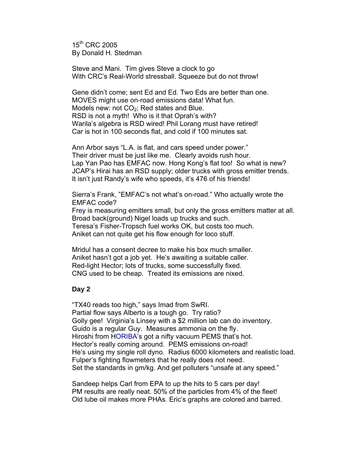15<sup>th</sup> CRC 2005 By Donald H. Stedman

Steve and Mani. Tim gives Steve a clock to go With CRC's Real-World stressball. Squeeze but do not throw!

Gene didn't come; sent Ed and Ed. Two Eds are better than one. MOVES might use on-road emissions data! What fun. Models new: not  $CO<sub>2</sub>$ ; Red states and Blue. RSD is not a myth! Who is it that Oprah's with? Warila's algebra is RSD wired! Phil Lorang must have retired! Car is hot in 100 seconds flat, and cold if 100 minutes sat.

Ann Arbor says "L.A. is flat, and cars speed under power." Their driver must be just like me. Clearly avoids rush hour. Lap Yan Pao has EMFAC now. Hong Kong's flat too! So what is new? JCAP's Hirai has an RSD supply; older trucks with gross emitter trends. It isn't just Randy's wife who speeds, it's 476 of his friends!

Sierra's Frank, "EMFAC's not what's on-road." Who actually wrote the EMFAC code? Frey is measuring emitters small, but only the gross emitters matter at all. Broad back(ground) Nigel loads up trucks and such.

Teresa's Fisher-Tropsch fuel works OK, but costs too much. Aniket can not quite get his flow enough for loco stuff.

Mridul has a consent decree to make his box much smaller. Aniket hasn't got a job yet. He's awaiting a suitable caller. Red-light Hector; lots of trucks, some successfully fixed. CNG used to be cheap. Treated its emissions are nixed.

## **Day 2**

"TX40 reads too high," says Imad from SwRI. Partial flow says Alberto is a tough go. Try ratio? Golly gee! Virginia's Linsey with a \$2 million lab can do inventory. Guido is a regular Guy. Measures ammonia on the fly. Hiroshi from HORIBA's got a nifty vacuum PEMS that's hot. Hector's really coming around. PEMS emissions on-road! He's using my single roll dyno. Radius 6000 kilometers and realistic load. Fulper's fighting flowmeters that he really does not need. Set the standards in gm/kg. And get polluters "unsafe at any speed."

Sandeep helps Carl from EPA to up the hits to 5 cars per day! PM results are really neat. 50% of the particles from 4% of the fleet! Old lube oil makes more PHAs. Eric's graphs are colored and barred.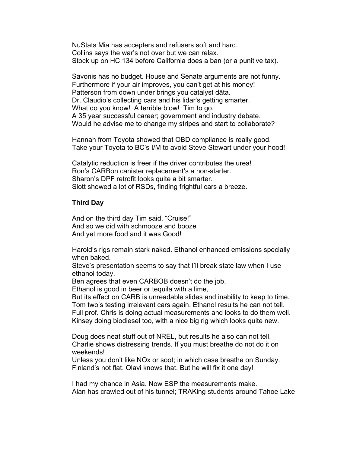NuStats Mia has accepters and refusers soft and hard. Collins says the war's not over but we can relax. Stock up on HC 134 before California does a ban (or a punitive tax).

Savonis has no budget. House and Senate arguments are not funny. Furthermore if your air improves, you can't get at his money! Patterson from down under brings you catalyst dāta. Dr. Claudio's collecting cars and his lidar's getting smarter. What do you know! A terrible blow! Tim to go. A 35 year successful career; government and industry debate. Would he advise me to change my stripes and start to collaborate?

Hannah from Toyota showed that OBD compliance is really good. Take your Toyota to BC's I/M to avoid Steve Stewart under your hood!

Catalytic reduction is freer if the driver contributes the urea! Ron's CARBon canister replacement's a non-starter. Sharon's DPF retrofit looks quite a bit smarter. Slott showed a lot of RSDs, finding frightful cars a breeze.

## **Third Day**

And on the third day Tim said, "Cruise!" And so we did with schmooze and booze And yet more food and it was Good!

Harold's rigs remain stark naked. Ethanol enhanced emissions specially when baked.

Steve's presentation seems to say that I'll break state law when I use ethanol today.

Ben agrees that even CARBOB doesn't do the job.

Ethanol is good in beer or tequila with a lime,

But its effect on CARB is unreadable slides and inability to keep to time. Tom two's testing irrelevant cars again. Ethanol results he can not tell. Full prof. Chris is doing actual measurements and looks to do them well. Kinsey doing biodiesel too, with a nice big rig which looks quite new.

Doug does neat stuff out of NREL, but results he also can not tell. Charlie shows distressing trends. If you must breathe do not do it on weekends!

Unless you don't like NOx or soot; in which case breathe on Sunday. Finland's not flat. Olavi knows that. But he will fix it one day!

I had my chance in Asia. Now ESP the measurements make. Alan has crawled out of his tunnel; TRAKing students around Tahoe Lake